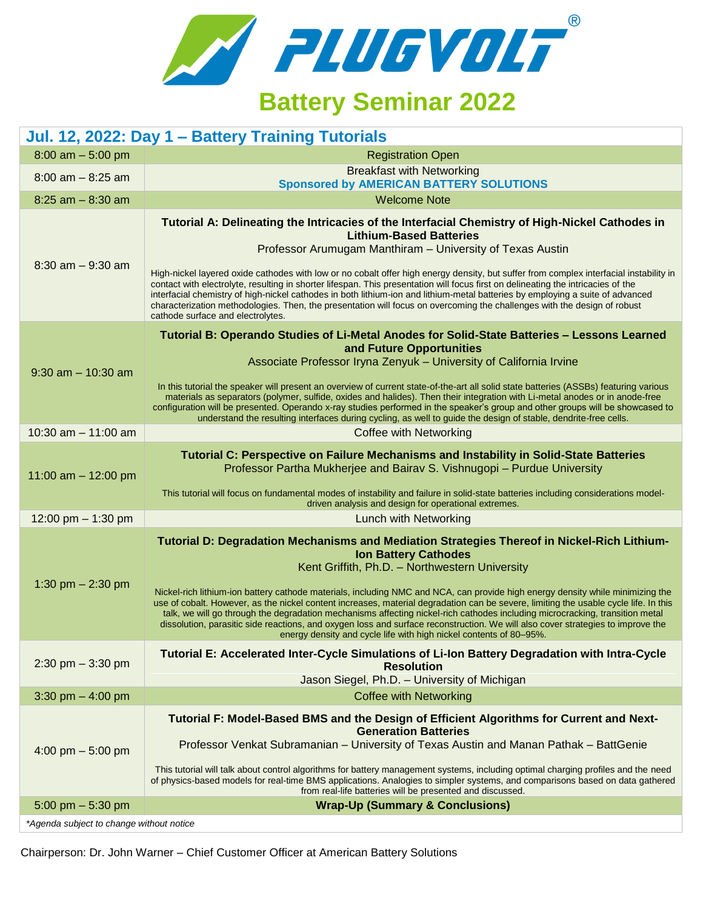

## **Battery Seminar 2022**

| Jul. 12, 2022: Day 1 - Battery Training Tutorials |                                                                                                                                                                                                                                                                                                                                                                                                                                                                                                                                                                                                                                                                                                                                                                                                 |  |
|---------------------------------------------------|-------------------------------------------------------------------------------------------------------------------------------------------------------------------------------------------------------------------------------------------------------------------------------------------------------------------------------------------------------------------------------------------------------------------------------------------------------------------------------------------------------------------------------------------------------------------------------------------------------------------------------------------------------------------------------------------------------------------------------------------------------------------------------------------------|--|
| $8:00$ am $-5:00$ pm                              | <b>Registration Open</b>                                                                                                                                                                                                                                                                                                                                                                                                                                                                                                                                                                                                                                                                                                                                                                        |  |
| $8:00$ am $-8:25$ am                              | <b>Breakfast with Networking</b><br><b>Sponsored by AMERICAN BATTERY SOLUTIONS</b>                                                                                                                                                                                                                                                                                                                                                                                                                                                                                                                                                                                                                                                                                                              |  |
| $8:25$ am $-8:30$ am                              | <b>Welcome Note</b>                                                                                                                                                                                                                                                                                                                                                                                                                                                                                                                                                                                                                                                                                                                                                                             |  |
| $8:30$ am $-9:30$ am                              | Tutorial A: Delineating the Intricacies of the Interfacial Chemistry of High-Nickel Cathodes in<br><b>Lithium-Based Batteries</b><br>Professor Arumugam Manthiram - University of Texas Austin<br>High-nickel layered oxide cathodes with low or no cobalt offer high energy density, but suffer from complex interfacial instability in<br>contact with electrolyte, resulting in shorter lifespan. This presentation will focus first on delineating the intricacies of the<br>interfacial chemistry of high-nickel cathodes in both lithium-ion and lithium-metal batteries by employing a suite of advanced<br>characterization methodologies. Then, the presentation will focus on overcoming the challenges with the design of robust<br>cathode surface and electrolytes.                |  |
| $9:30$ am $-10:30$ am                             | Tutorial B: Operando Studies of Li-Metal Anodes for Solid-State Batteries - Lessons Learned<br>and Future Opportunities<br>Associate Professor Iryna Zenyuk - University of California Irvine<br>In this tutorial the speaker will present an overview of current state-of-the-art all solid state batteries (ASSBs) featuring various<br>materials as separators (polymer, sulfide, oxides and halides). Then their integration with Li-metal anodes or in anode-free<br>configuration will be presented. Operando x-ray studies performed in the speaker's group and other groups will be showcased to<br>understand the resulting interfaces during cycling, as well to guide the design of stable, dendrite-free cells.                                                                     |  |
| 10:30 am $-$ 11:00 am                             | <b>Coffee with Networking</b>                                                                                                                                                                                                                                                                                                                                                                                                                                                                                                                                                                                                                                                                                                                                                                   |  |
| 11:00 am $-$ 12:00 pm                             | Tutorial C: Perspective on Failure Mechanisms and Instability in Solid-State Batteries<br>Professor Partha Mukherjee and Bairav S. Vishnugopi - Purdue University<br>This tutorial will focus on fundamental modes of instability and failure in solid-state batteries including considerations model-<br>driven analysis and design for operational extremes.                                                                                                                                                                                                                                                                                                                                                                                                                                  |  |
| 12:00 pm $-$ 1:30 pm                              | Lunch with Networking                                                                                                                                                                                                                                                                                                                                                                                                                                                                                                                                                                                                                                                                                                                                                                           |  |
| 1:30 pm $- 2:30$ pm                               | Tutorial D: Degradation Mechanisms and Mediation Strategies Thereof in Nickel-Rich Lithium-<br><b>Ion Battery Cathodes</b><br>Kent Griffith, Ph.D. - Northwestern University<br>Nickel-rich lithium-ion battery cathode materials, including NMC and NCA, can provide high energy density while minimizing the<br>use of cobalt. However, as the nickel content increases, material degradation can be severe, limiting the usable cycle life. In this<br>talk, we will go through the degradation mechanisms affecting nickel-rich cathodes including microcracking, transition metal<br>dissolution, parasitic side reactions, and oxygen loss and surface reconstruction. We will also cover strategies to improve the<br>energy density and cycle life with high nickel contents of 80-95%. |  |
| 2:30 pm $-$ 3:30 pm                               | Tutorial E: Accelerated Inter-Cycle Simulations of Li-Ion Battery Degradation with Intra-Cycle<br><b>Resolution</b><br>Jason Siegel, Ph.D. - University of Michigan                                                                                                                                                                                                                                                                                                                                                                                                                                                                                                                                                                                                                             |  |
| 3:30 pm $-$ 4:00 pm                               | <b>Coffee with Networking</b>                                                                                                                                                                                                                                                                                                                                                                                                                                                                                                                                                                                                                                                                                                                                                                   |  |
| 4:00 pm $-$ 5:00 pm                               | Tutorial F: Model-Based BMS and the Design of Efficient Algorithms for Current and Next-<br><b>Generation Batteries</b><br>Professor Venkat Subramanian - University of Texas Austin and Manan Pathak - BattGenie<br>This tutorial will talk about control algorithms for battery management systems, including optimal charging profiles and the need<br>of physics-based models for real-time BMS applications. Analogies to simpler systems, and comparisons based on data gathered<br>from real-life batteries will be presented and discussed.                                                                                                                                                                                                                                             |  |
| 5:00 pm $-$ 5:30 pm                               | <b>Wrap-Up (Summary &amp; Conclusions)</b>                                                                                                                                                                                                                                                                                                                                                                                                                                                                                                                                                                                                                                                                                                                                                      |  |
| *Agenda subject to change without notice          |                                                                                                                                                                                                                                                                                                                                                                                                                                                                                                                                                                                                                                                                                                                                                                                                 |  |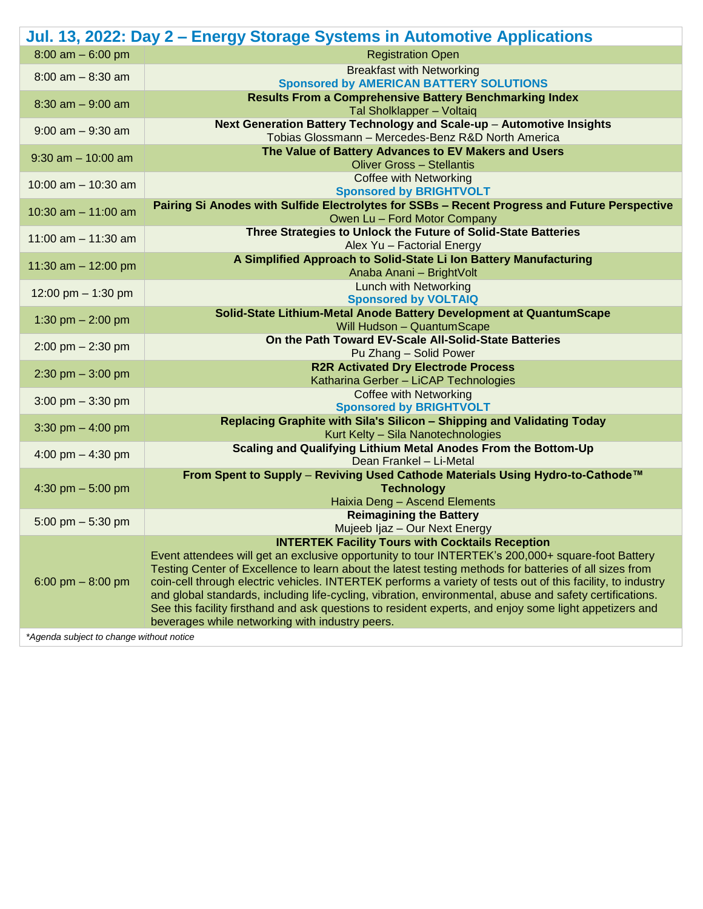|                                          | Jul. 13, 2022: Day 2 – Energy Storage Systems in Automotive Applications                                                                                                                                           |  |
|------------------------------------------|--------------------------------------------------------------------------------------------------------------------------------------------------------------------------------------------------------------------|--|
| $8:00$ am $-6:00$ pm                     | <b>Registration Open</b>                                                                                                                                                                                           |  |
| $8:00$ am $- 8:30$ am                    | <b>Breakfast with Networking</b>                                                                                                                                                                                   |  |
|                                          | <b>Sponsored by AMERICAN BATTERY SOLUTIONS</b>                                                                                                                                                                     |  |
| $8:30$ am $-9:00$ am                     | <b>Results From a Comprehensive Battery Benchmarking Index</b><br>Tal Sholklapper - Voltaiq                                                                                                                        |  |
| $9:00$ am $-9:30$ am                     | Next Generation Battery Technology and Scale-up - Automotive Insights                                                                                                                                              |  |
|                                          | Tobias Glossmann - Mercedes-Benz R&D North America                                                                                                                                                                 |  |
| $9:30$ am $-10:00$ am                    | The Value of Battery Advances to EV Makers and Users                                                                                                                                                               |  |
|                                          | <b>Oliver Gross - Stellantis</b>                                                                                                                                                                                   |  |
| 10:00 am $-$ 10:30 am                    | <b>Coffee with Networking</b><br><b>Sponsored by BRIGHTVOLT</b>                                                                                                                                                    |  |
|                                          | Pairing Si Anodes with Sulfide Electrolytes for SSBs - Recent Progress and Future Perspective                                                                                                                      |  |
| 10:30 am $-$ 11:00 am                    | Owen Lu - Ford Motor Company                                                                                                                                                                                       |  |
| 11:00 am $- 11:30$ am                    | Three Strategies to Unlock the Future of Solid-State Batteries                                                                                                                                                     |  |
|                                          | Alex Yu - Factorial Energy                                                                                                                                                                                         |  |
| 11:30 am $-$ 12:00 pm                    | A Simplified Approach to Solid-State Li Ion Battery Manufacturing                                                                                                                                                  |  |
|                                          | Anaba Anani - BrightVolt                                                                                                                                                                                           |  |
| 12:00 pm $-$ 1:30 pm                     | Lunch with Networking<br><b>Sponsored by VOLTAIQ</b>                                                                                                                                                               |  |
|                                          | Solid-State Lithium-Metal Anode Battery Development at QuantumScape                                                                                                                                                |  |
| 1:30 pm $- 2:00$ pm                      | Will Hudson - QuantumScape                                                                                                                                                                                         |  |
| $2:00 \text{ pm} - 2:30 \text{ pm}$      | On the Path Toward EV-Scale All-Solid-State Batteries                                                                                                                                                              |  |
|                                          | Pu Zhang - Solid Power                                                                                                                                                                                             |  |
| $2:30$ pm $-3:00$ pm                     | <b>R2R Activated Dry Electrode Process</b>                                                                                                                                                                         |  |
|                                          | Katharina Gerber - LiCAP Technologies                                                                                                                                                                              |  |
| 3:00 pm $-$ 3:30 pm                      | <b>Coffee with Networking</b><br><b>Sponsored by BRIGHTVOLT</b>                                                                                                                                                    |  |
|                                          | Replacing Graphite with Sila's Silicon - Shipping and Validating Today                                                                                                                                             |  |
| 3:30 pm $-$ 4:00 pm                      | Kurt Kelty - Sila Nanotechnologies                                                                                                                                                                                 |  |
|                                          | Scaling and Qualifying Lithium Metal Anodes From the Bottom-Up                                                                                                                                                     |  |
| 4:00 pm $-$ 4:30 pm                      | Dean Frankel - Li-Metal                                                                                                                                                                                            |  |
| 4:30 pm $-5:00$ pm                       | From Spent to Supply - Reviving Used Cathode Materials Using Hydro-to-Cathode™                                                                                                                                     |  |
|                                          | <b>Technology</b>                                                                                                                                                                                                  |  |
|                                          | Haixia Deng - Ascend Elements<br><b>Reimagining the Battery</b>                                                                                                                                                    |  |
| 5:00 pm $-$ 5:30 pm                      | Mujeeb Ijaz - Our Next Energy                                                                                                                                                                                      |  |
|                                          | <b>INTERTEK Facility Tours with Cocktails Reception</b>                                                                                                                                                            |  |
| 6:00 pm $-8:00$ pm                       | Event attendees will get an exclusive opportunity to tour INTERTEK's 200,000+ square-foot Battery                                                                                                                  |  |
|                                          | Testing Center of Excellence to learn about the latest testing methods for batteries of all sizes from                                                                                                             |  |
|                                          | coin-cell through electric vehicles. INTERTEK performs a variety of tests out of this facility, to industry                                                                                                        |  |
|                                          | and global standards, including life-cycling, vibration, environmental, abuse and safety certifications.<br>See this facility firsthand and ask questions to resident experts, and enjoy some light appetizers and |  |
|                                          | beverages while networking with industry peers.                                                                                                                                                                    |  |
| *Agenda subject to change without notice |                                                                                                                                                                                                                    |  |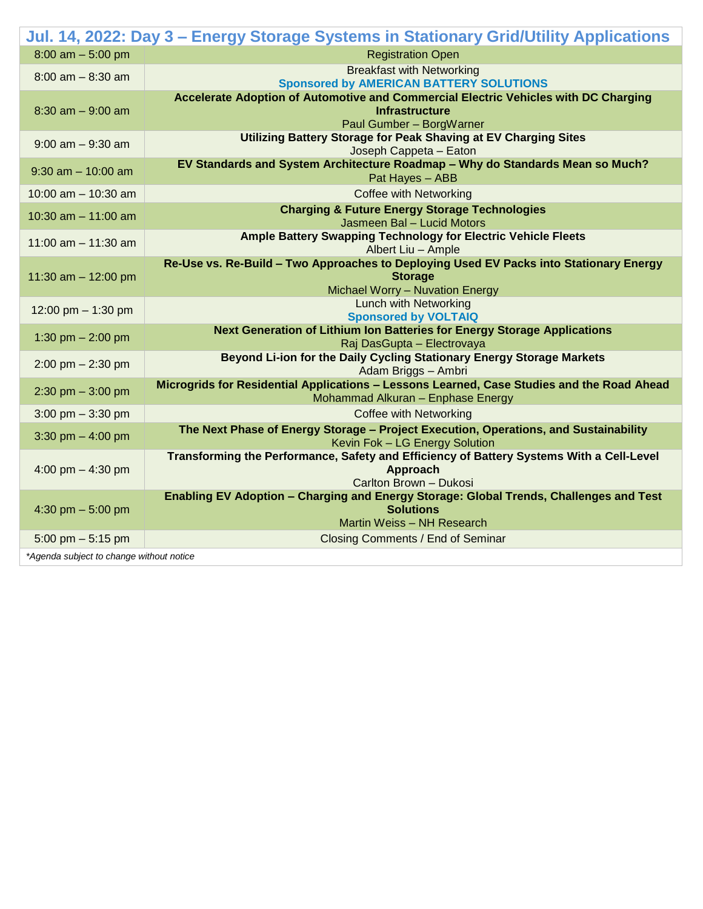|                                          | Jul. 14, 2022: Day 3 - Energy Storage Systems in Stationary Grid/Utility Applications                             |  |  |
|------------------------------------------|-------------------------------------------------------------------------------------------------------------------|--|--|
| $8:00$ am $-5:00$ pm                     | <b>Registration Open</b>                                                                                          |  |  |
| $8:00$ am $-8:30$ am                     | <b>Breakfast with Networking</b>                                                                                  |  |  |
|                                          | <b>Sponsored by AMERICAN BATTERY SOLUTIONS</b>                                                                    |  |  |
| $8:30$ am $-9:00$ am                     | Accelerate Adoption of Automotive and Commercial Electric Vehicles with DC Charging<br><b>Infrastructure</b>      |  |  |
|                                          | Paul Gumber - BorgWarner                                                                                          |  |  |
| $9:00$ am $-9:30$ am                     | Utilizing Battery Storage for Peak Shaving at EV Charging Sites                                                   |  |  |
|                                          | Joseph Cappeta - Eaton                                                                                            |  |  |
| $9:30$ am $-10:00$ am                    | EV Standards and System Architecture Roadmap - Why do Standards Mean so Much?<br>Pat Hayes - ABB                  |  |  |
| 10:00 am $-$ 10:30 am                    | <b>Coffee with Networking</b>                                                                                     |  |  |
|                                          | <b>Charging &amp; Future Energy Storage Technologies</b>                                                          |  |  |
| 10:30 am $-$ 11:00 am                    | Jasmeen Bal - Lucid Motors                                                                                        |  |  |
|                                          | Ample Battery Swapping Technology for Electric Vehicle Fleets                                                     |  |  |
| 11:00 am $-$ 11:30 am                    | Albert Liu - Ample                                                                                                |  |  |
| 11:30 am $-$ 12:00 pm                    | Re-Use vs. Re-Build - Two Approaches to Deploying Used EV Packs into Stationary Energy                            |  |  |
|                                          | <b>Storage</b>                                                                                                    |  |  |
|                                          | Michael Worry - Nuvation Energy<br>Lunch with Networking                                                          |  |  |
| 12:00 pm $-$ 1:30 pm                     | <b>Sponsored by VOLTAIQ</b>                                                                                       |  |  |
| 1:30 pm $- 2:00$ pm                      | <b>Next Generation of Lithium Ion Batteries for Energy Storage Applications</b>                                   |  |  |
|                                          | Raj DasGupta - Electrovaya                                                                                        |  |  |
| $2:00$ pm $- 2:30$ pm                    | Beyond Li-ion for the Daily Cycling Stationary Energy Storage Markets                                             |  |  |
|                                          | Adam Briggs - Ambri<br>Microgrids for Residential Applications - Lessons Learned, Case Studies and the Road Ahead |  |  |
| 2:30 pm $-$ 3:00 pm                      | Mohammad Alkuran - Enphase Energy                                                                                 |  |  |
| 3:00 pm $-$ 3:30 pm                      | <b>Coffee with Networking</b>                                                                                     |  |  |
|                                          | The Next Phase of Energy Storage - Project Execution, Operations, and Sustainability                              |  |  |
| 3:30 pm $-$ 4:00 pm                      | Kevin Fok - LG Energy Solution                                                                                    |  |  |
| 4:00 pm $-$ 4:30 pm                      | Transforming the Performance, Safety and Efficiency of Battery Systems With a Cell-Level                          |  |  |
|                                          | Approach                                                                                                          |  |  |
|                                          | Carlton Brown - Dukosi<br>Enabling EV Adoption - Charging and Energy Storage: Global Trends, Challenges and Test  |  |  |
| 4:30 pm $-$ 5:00 pm                      | <b>Solutions</b>                                                                                                  |  |  |
|                                          | Martin Weiss - NH Research                                                                                        |  |  |
| 5:00 pm $-$ 5:15 pm                      | Closing Comments / End of Seminar                                                                                 |  |  |
| *Agenda subject to change without notice |                                                                                                                   |  |  |